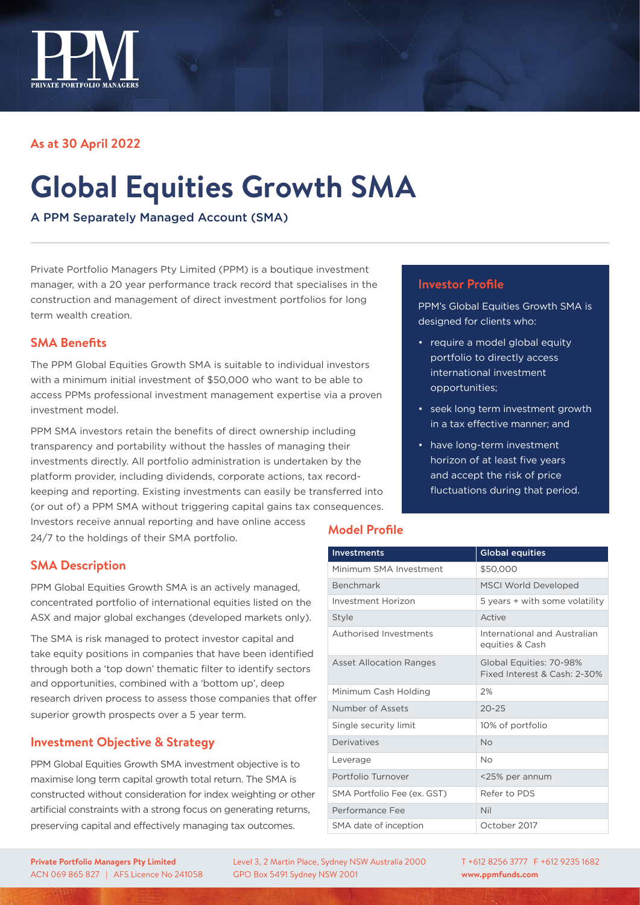

# **As at 30 April 2022**

# **Global Equities Growth SMA**

A PPM Separately Managed Account (SMA)

Private Portfolio Managers Pty Limited (PPM) is a boutique investment manager, with a 20 year performance track record that specialises in the construction and management of direct investment portfolios for long term wealth creation.

# **SMA Benefits**

The PPM Global Equities Growth SMA is suitable to individual investors with a minimum initial investment of \$50,000 who want to be able to access PPMs professional investment management expertise via a proven investment model.

PPM SMA investors retain the benefits of direct ownership including transparency and portability without the hassles of managing their investments directly. All portfolio administration is undertaken by the platform provider, including dividends, corporate actions, tax recordkeeping and reporting. Existing investments can easily be transferred into (or out of) a PPM SMA without triggering capital gains tax consequences. Investors receive annual reporting and have online access

24/7 to the holdings of their SMA portfolio.

## **SMA Description**

PPM Global Equities Growth SMA is an actively managed, concentrated portfolio of international equities listed on the ASX and major global exchanges (developed markets only).

The SMA is risk managed to protect investor capital and take equity positions in companies that have been identified through both a 'top down' thematic filter to identify sectors and opportunities, combined with a 'bottom up', deep research driven process to assess those companies that offer superior growth prospects over a 5 year term.

## **Investment Objective & Strategy**

PPM Global Equities Growth SMA investment objective is to maximise long term capital growth total return. The SMA is constructed without consideration for index weighting or other artificial constraints with a strong focus on generating returns, preserving capital and effectively managing tax outcomes.

#### **Investor Profile**

PPM's Global Equities Growth SMA is designed for clients who:

- require a model global equity portfolio to directly access international investment opportunities;
- seek long term investment growth in a tax effective manner; and
- have long-term investment horizon of at least five years and accept the risk of price fluctuations during that period.

## **Model Profile**

| <b>Investments</b>             | <b>Global equities</b>                                  |
|--------------------------------|---------------------------------------------------------|
| Minimum SMA Investment         | \$50,000                                                |
| Benchmark                      | <b>MSCI World Developed</b>                             |
| Investment Horizon             | 5 years + with some volatility                          |
| Style                          | Active                                                  |
| Authorised Investments         | International and Australian<br>equities & Cash         |
| <b>Asset Allocation Ranges</b> | Global Equities: 70-98%<br>Fixed Interest & Cash: 2-30% |
| Minimum Cash Holding           | 2%                                                      |
| Number of Assets               | $20 - 25$                                               |
| Single security limit          | 10% of portfolio                                        |
| Derivatives                    | No                                                      |
| Leverage                       | No                                                      |
| Portfolio Turnover             | <25% per annum                                          |
| SMA Portfolio Fee (ex. GST)    | Refer to PDS                                            |
| Performance Fee                | Nil                                                     |
| SMA date of inception          | October 2017                                            |

**Private Portfolio Managers Pty Limited** ACN 069 865 827 | AFS Licence No 241058 Level 3, 2 Martin Place, Sydney NSW Australia 2000 GPO Box 5491 Sydney NSW 2001

T +612 8256 3777 F +612 9235 1682 **www.ppmfunds.com**